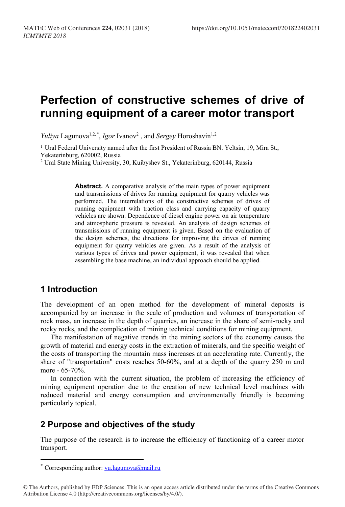# **Perfection of constructive schemes of drive of running equipment of a career motor transport**

*Yuliya* Lagunova<sup>1,2,[\\*](#page-0-0)</sup>, *Igor* Ivanov<sup>2</sup>, and *Sergey* Horoshavin<sup>1,2</sup>

<sup>1</sup> Ural Federal University named after the first President of Russia BN. Yeltsin, 19, Mira St., Yekaterinburg, 620002, Russia

<sup>2</sup> Ural State Mining University, 30, Kuibyshev St., Yekaterinburg, 620144, Russia

**Abstract.** A comparative analysis of the main types of power equipment and transmissions of drives for running equipment for quarry vehicles was performed. The interrelations of the constructive schemes of drives of running equipment with traction class and carrying capacity of quarry vehicles are shown. Dependence of diesel engine power on air temperature and atmospheric pressure is revealed. An analysis of design schemes of transmissions of running equipment is given. Based on the evaluation of the design schemes, the directions for improving the drives of running equipment for quarry vehicles are given. As a result of the analysis of various types of drives and power equipment, it was revealed that when assembling the base machine, an individual approach should be applied.

## **1 Introduction**

The development of an open method for the development of mineral deposits is accompanied by an increase in the scale of production and volumes of transportation of rock mass, an increase in the depth of quarries, an increase in the share of semi-rocky and rocky rocks, and the complication of mining technical conditions for mining equipment.

The manifestation of negative trends in the mining sectors of the economy causes the growth of material and energy costs in the extraction of minerals, and the specific weight of the costs of transporting the mountain mass increases at an accelerating rate. Currently, the share of "transportation" costs reaches 50-60%, and at a depth of the quarry 250 m and more - 65-70%.

In connection with the current situation, the problem of increasing the efficiency of mining equipment operation due to the creation of new technical level machines with reduced material and energy consumption and environmentally friendly is becoming particularly topical.

### **2 Purpose and objectives of the study**

The purpose of the research is to increase the efficiency of functioning of a career motor transport.

 $\overline{a}$ 

<span id="page-0-0"></span><sup>\*</sup> Corresponding author:  $yu.lagunova@mail.ru$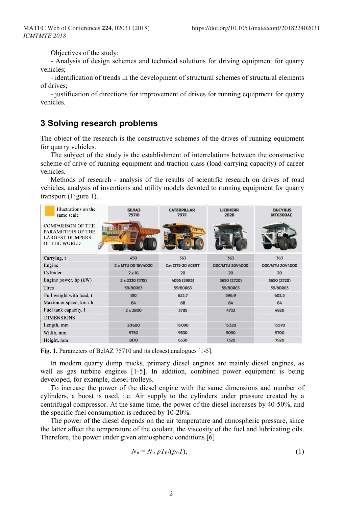Objectives of the study:

- Analysis of design schemes and technical solutions for driving equipment for quarry vehicles;

- identification of trends in the development of structural schemes of structural elements of drives;

- justification of directions for improvement of drives for running equipment for quarry vehicles.

# **3 Solving research problems**

The object of the research is the constructive schemes of the drives of running equipment for quarry vehicles.

The subject of the study is the establishment of interrelations between the constructive scheme of drive of running equipment and traction class (load-carrying capacity) of career vehicles.

Methods of research - analysis of the results of scientific research on drives of road vehicles, analysis of inventions and utility models devoted to running equipment for quarry transport (Figure 1).

| Illustrations on the<br>same scale                                                             | <b>БЕЛАЗ</b><br>75710 | <b>CATERPILLAR</b><br><b>797F</b> | <b>LIEBHERR</b><br><b>282B</b> | <b>BUCYRUS</b><br><b>MT6300AC</b> |
|------------------------------------------------------------------------------------------------|-----------------------|-----------------------------------|--------------------------------|-----------------------------------|
| <b>COMPARISON OF THE</b><br><b>PARAMETERS OF THE</b><br><b>LARGEST DUMPERS</b><br>OF THE WORLD |                       |                                   |                                |                                   |
| Carrying, t                                                                                    | 450                   | 363                               | 363                            | 363                               |
| Engine                                                                                         | 2 x MTU DD 16V4000    | Cat C175-20 ACERT                 | <b>DDC/MTU 20V4000</b>         | <b>DDC/MTU 20V4000</b>            |
| Cylinder                                                                                       | $2 \times 16$         | 20                                | 20                             | 20                                |
| Engine power, $hp (kW)$                                                                        | 2 x 2330 (1715)       | 4055 (2983)                       | 3650 (2720)                    | 3650 (2720)                       |
| <b>Tires</b>                                                                                   | 59/80R63              | 59/80R63                          | 59/80R63                       | 59/80R63                          |
| Full weight with load, t                                                                       | 810                   | 623,7                             | 596,9                          | 603,3                             |
| Maximum speed, km / h                                                                          | 64                    | 68                                | 64                             | 64                                |
| Fuel tank capacity, I                                                                          | $2 \times 2800$       | 3785                              | 4732                           | 4920                              |
| <b>DIMENSIONS</b>                                                                              |                       |                                   |                                |                                   |
| Length, mm                                                                                     | 20600                 | 15090                             | 15320                          | 15570                             |
| Width, mm                                                                                      | 9750                  | 9530                              | 9090                           | 9700                              |
| Height, mm                                                                                     | 8170                  | 6530                              | 7320                           | 7920                              |

**Fig. 1.** Parameters of BelAZ 75710 and its closest analogues [1-5].

In modern quarry dump trucks, primary diesel engines are mainly diesel engines, as well as gas turbine engines [1-5]. In addition, combined power equipment is being developed, for example, diesel-trolleys.

To increase the power of the diesel engine with the same dimensions and number of cylinders, a boost is used, i.e. Air supply to the cylinders under pressure created by a centrifugal compressor. At the same time, the power of the diesel increases by 40-50%, and the specific fuel consumption is reduced by 10-20%.

The power of the diesel depends on the air temperature and atmospheric pressure, since the latter affect the temperature of the coolant, the viscosity of the fuel and lubricating oils. Therefore, the power under given atmospheric conditions [6]

$$
N_{\mathrm{H}} = N_{\mathrm{H}} p T_0 / (p_0 T), \qquad (1)
$$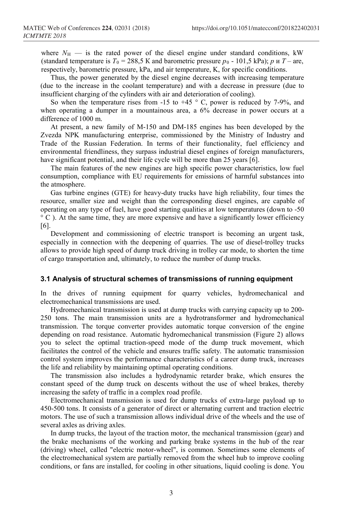where  $N_{\text{H}}$  — is the rated power of the diesel engine under standard conditions, kW (standard temperature is  $T_0 = 288.5$  K and barometric pressure  $p_0$  - 101.5 kPa); *p*  $\mu$  *T* – are, respectively, barometric pressure, kPa, and air temperature, K, for specific conditions.

Thus, the power generated by the diesel engine decreases with increasing temperature (due to the increase in the coolant temperature) and with a decrease in pressure (due to insufficient charging of the cylinders with air and deterioration of cooling).

So when the temperature rises from -15 to +45  $\degree$  C, power is reduced by 7-9%, and when operating a dumper in a mountainous area, a 6% decrease in power occurs at a difference of 1000 m.

At present, a new family of M-150 and DM-185 engines has been developed by the Zvezda NPK manufacturing enterprise, commissioned by the Ministry of Industry and Trade of the Russian Federation. In terms of their functionality, fuel efficiency and environmental friendliness, they surpass industrial diesel engines of foreign manufacturers, have significant potential, and their life cycle will be more than 25 years [6].

The main features of the new engines are high specific power characteristics, low fuel consumption, compliance with EU requirements for emissions of harmful substances into the atmosphere.

Gas turbine engines (GTE) for heavy-duty trucks have high reliability, four times the resource, smaller size and weight than the corresponding diesel engines, are capable of operating on any type of fuel, have good starting qualities at low temperatures (down to -50 ° C ). At the same time, they are more expensive and have a significantly lower efficiency [6].

Development and commissioning of electric transport is becoming an urgent task, especially in connection with the deepening of quarries. The use of diesel-trolley trucks allows to provide high speed of dump truck driving in trolley car mode, to shorten the time of cargo transportation and, ultimately, to reduce the number of dump trucks.

#### **3.1 Analysis of structural schemes of transmissions of running equipment**

In the drives of running equipment for quarry vehicles, hydromechanical and electromechanical transmissions are used.

Hydromechanical transmission is used at dump trucks with carrying capacity up to 200- 250 tons. The main transmission units are a hydrotransformer and hydromechanical transmission. The torque converter provides automatic torque conversion of the engine depending on road resistance. Automatic hydromechanical transmission (Figure 2) allows you to select the optimal traction-speed mode of the dump truck movement, which facilitates the control of the vehicle and ensures traffic safety. The automatic transmission control system improves the performance characteristics of a career dump truck, increases the life and reliability by maintaining optimal operating conditions.

The transmission also includes a hydrodynamic retarder brake, which ensures the constant speed of the dump truck on descents without the use of wheel brakes, thereby increasing the safety of traffic in a complex road profile.

Electromechanical transmission is used for dump trucks of extra-large payload up to 450-500 tons. It consists of a generator of direct or alternating current and traction electric motors. The use of such a transmission allows individual drive of the wheels and the use of several axles as driving axles.

In dump trucks, the layout of the traction motor, the mechanical transmission (gear) and the brake mechanisms of the working and parking brake systems in the hub of the rear (driving) wheel, called "electric motor-wheel", is common. Sometimes some elements of the electromechanical system are partially removed from the wheel hub to improve cooling conditions, or fans are installed, for cooling in other situations, liquid cooling is done. You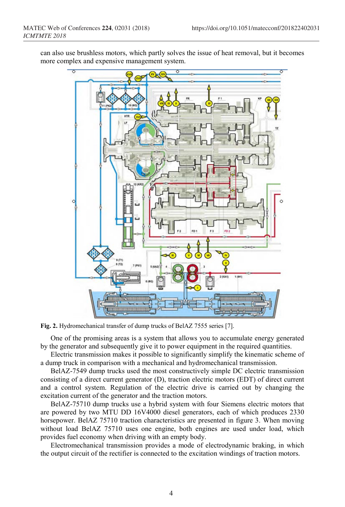can also use brushless motors, which partly solves the issue of heat removal, but it becomes more complex and expensive management system.



**Fig. 2.** Hydromechanical transfer of dump trucks of BelAZ 7555 series [7].

One of the promising areas is a system that allows you to accumulate energy generated by the generator and subsequently give it to power equipment in the required quantities.

Electric transmission makes it possible to significantly simplify the kinematic scheme of a dump truck in comparison with a mechanical and hydromechanical transmission.

BelAZ-7549 dump trucks used the most constructively simple DC electric transmission consisting of a direct current generator (D), traction electric motors (EDT) of direct current and a control system. Regulation of the electric drive is carried out by changing the excitation current of the generator and the traction motors.

BelAZ-75710 dump trucks use a hybrid system with four Siemens electric motors that are powered by two MTU DD 16V4000 diesel generators, each of which produces 2330 horsepower. BelAZ 75710 traction characteristics are presented in figure 3. When moving without load BelAZ 75710 uses one engine, both engines are used under load, which provides fuel economy when driving with an empty body.

Electromechanical transmission provides a mode of electrodynamic braking, in which the output circuit of the rectifier is connected to the excitation windings of traction motors.